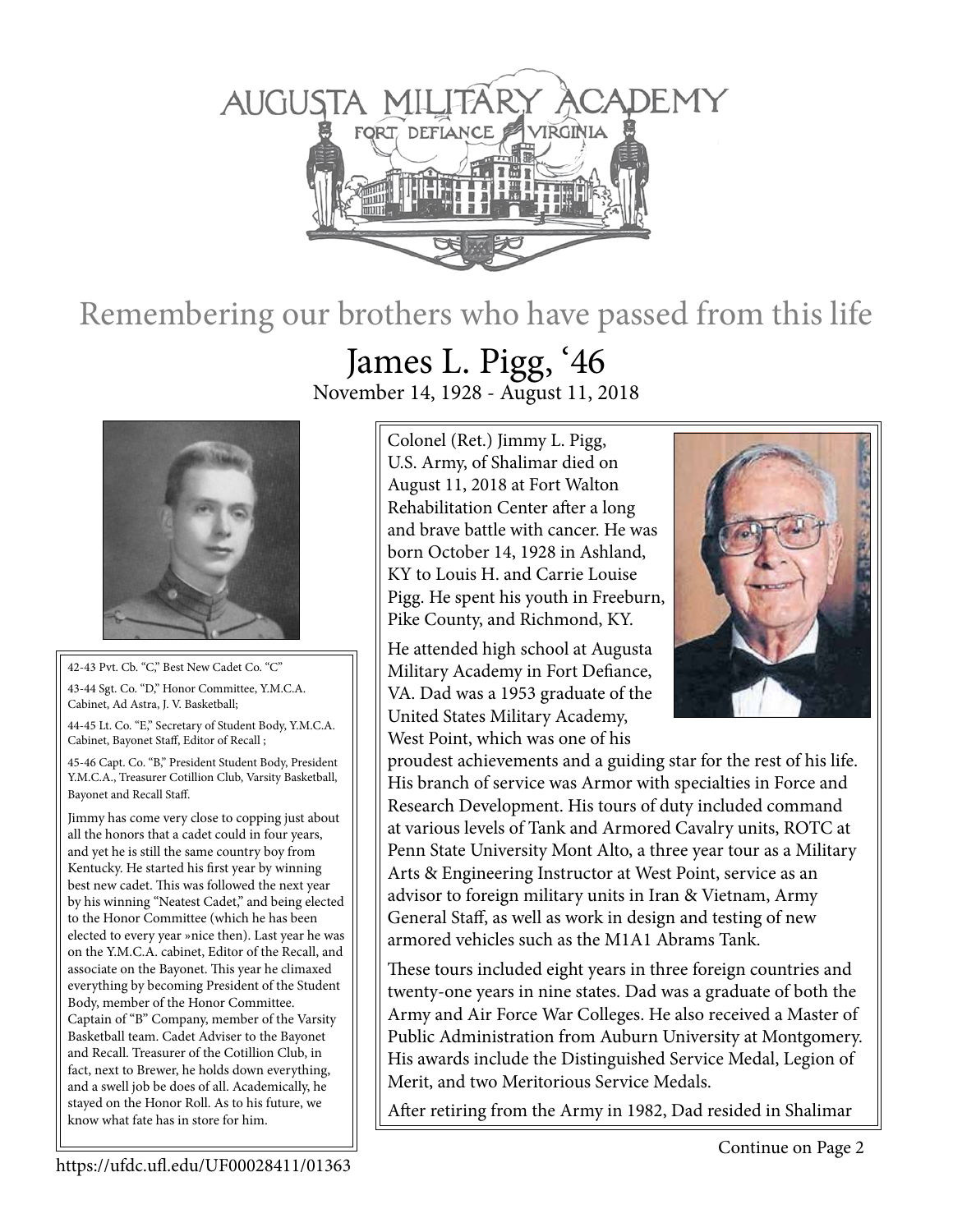

## Remembering our brothers who have passed from this life

42-43 Pvt. Cb. "C," Best New Cadet Co. "C"

43-44 Sgt. Co. "D," Honor Committee, Y.M.C.A. Cabinet, Ad Astra, J. V. Basketball;

44-45 Lt. Co. "E," Secretary of Student Body, Y.M.C.A. Cabinet, Bayonet Staff, Editor of Recall ;

45-46 Capt. Co. "B," President Student Body, President Y.M.C.A., Treasurer Cotillion Club, Varsity Basketball, Bayonet and Recall Staff.

Jimmy has come very close to copping just about all the honors that a cadet could in four years, and yet he is still the same country boy from Kentucky. He started his first year by winning best new cadet. This was followed the next year by his winning "Neatest Cadet," and being elected to the Honor Committee (which he has been elected to every year »nice then). Last year he was on the Y.M.C.A. cabinet, Editor of the Recall, and associate on the Bayonet. This year he climaxed everything by becoming President of the Student Body, member of the Honor Committee. Captain of "B" Company, member of the Varsity Basketball team. Cadet Adviser to the Bayonet and Recall. Treasurer of the Cotillion Club, in fact, next to Brewer, he holds down everything, and a swell job be does of all. Academically, he stayed on the Honor Roll. As to his future, we know what fate has in store for him.

James L. Pigg, '46 November 14, 1928 - August 11, 2018

> Colonel (Ret.) Jimmy L. Pigg, U.S. Army, of Shalimar died on August 11, 2018 at Fort Walton Rehabilitation Center after a long and brave battle with cancer. He was born October 14, 1928 in Ashland, KY to Louis H. and Carrie Louise Pigg. He spent his youth in Freeburn, Pike County, and Richmond, KY.

He attended high school at Augusta Military Academy in Fort Defiance, VA. Dad was a 1953 graduate of the United States Military Academy, West Point, which was one of his



proudest achievements and a guiding star for the rest of his life. His branch of service was Armor with specialties in Force and Research Development. His tours of duty included command at various levels of Tank and Armored Cavalry units, ROTC at Penn State University Mont Alto, a three year tour as a Military Arts & Engineering Instructor at West Point, service as an advisor to foreign military units in Iran & Vietnam, Army General Staff, as well as work in design and testing of new armored vehicles such as the M1A1 Abrams Tank.

These tours included eight years in three foreign countries and twenty-one years in nine states. Dad was a graduate of both the Army and Air Force War Colleges. He also received a Master of Public Administration from Auburn University at Montgomery. His awards include the Distinguished Service Medal, Legion of Merit, and two Meritorious Service Medals.

After retiring from the Army in 1982, Dad resided in Shalimar